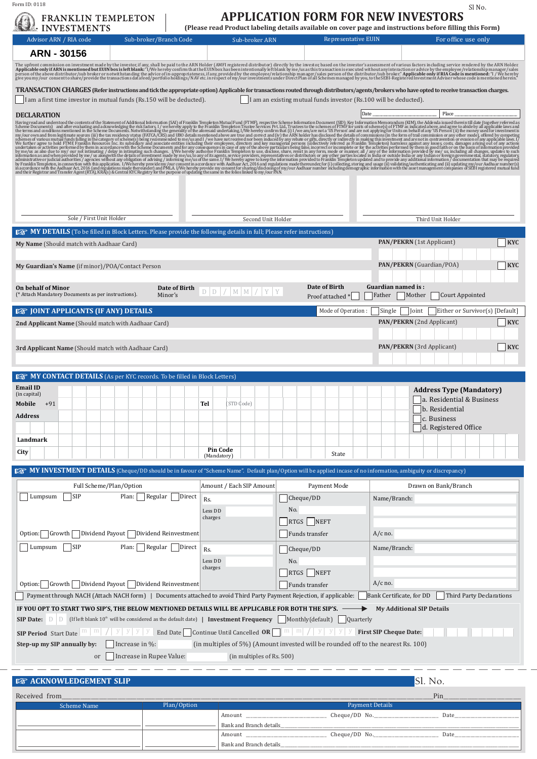Form ID: 0118

## **APPLICATION FORM FOR NEW INVESTORS**  Sl No.

| <b>Representative EUIN</b><br>For office use only<br>Advisor ARN / RIA code<br>Sub-broker/Branch Code<br>Sub-broker ARN<br>ARN - 30156<br>The upfront commission on investment made by the investor, if any, shall be paid to the ARN Holder (AMFI registered distributor) directly by the investor, based on the investor's assessment of various factors including ser<br>TRANSACTION CHARGES (Refer instructions and tick the appropriate option) Applicable for transactions routed through distributors/agents/brokers who have opted to receive transaction charges.<br>I am a first time investor in mutual funds (Rs.150 will be deducted).<br>I am an existing mutual funds investor (Rs.100 will be deducted).<br>Place<br>Date<br><b>DECLARATION</b> |            |
|-----------------------------------------------------------------------------------------------------------------------------------------------------------------------------------------------------------------------------------------------------------------------------------------------------------------------------------------------------------------------------------------------------------------------------------------------------------------------------------------------------------------------------------------------------------------------------------------------------------------------------------------------------------------------------------------------------------------------------------------------------------------|------------|
|                                                                                                                                                                                                                                                                                                                                                                                                                                                                                                                                                                                                                                                                                                                                                                 |            |
|                                                                                                                                                                                                                                                                                                                                                                                                                                                                                                                                                                                                                                                                                                                                                                 |            |
|                                                                                                                                                                                                                                                                                                                                                                                                                                                                                                                                                                                                                                                                                                                                                                 |            |
|                                                                                                                                                                                                                                                                                                                                                                                                                                                                                                                                                                                                                                                                                                                                                                 |            |
|                                                                                                                                                                                                                                                                                                                                                                                                                                                                                                                                                                                                                                                                                                                                                                 |            |
| Having read and understood the contents of the Statement of Additional Information (SAI) of Franklin Templeton Mutual Fund (FTMF), respective Scheme Information Document (SID); Key Information Memorandum (KIM), the Addenda<br>we undertake or activities performed by them in accordane with the Scheme Bocuments and for any omegating metrem in the holios interest process. These of any of the above particulars being false, incorrect or nomplete or f                                                                                                                                                                                                                                                                                                |            |
| Sole / First Unit Holder<br>Second Unit Holder<br>Third Unit Holder                                                                                                                                                                                                                                                                                                                                                                                                                                                                                                                                                                                                                                                                                             |            |
| <b>IS MY DETAILS</b> (To be filled in Block Letters. Please provide the following details in full; Please refer instructions)                                                                                                                                                                                                                                                                                                                                                                                                                                                                                                                                                                                                                                   |            |
| PAN/PEKRN (1st Applicant)<br>My Name (Should match with Aadhaar Card)                                                                                                                                                                                                                                                                                                                                                                                                                                                                                                                                                                                                                                                                                           | <b>KYC</b> |
| PAN/PEKRN (Guardian/POA)<br>My Guardian's Name (if minor)/POA/Contact Person                                                                                                                                                                                                                                                                                                                                                                                                                                                                                                                                                                                                                                                                                    | <b>KYC</b> |
| Date of Birth<br>Guardian named is:<br>Date of Birth<br>On behalf of Minor<br>$D   D   /   M   M   /   Y   Y$<br>(* Attach Mandatory Documents as per instructions).<br>Minor's<br>Court Appointed<br>Father<br>Mother<br>Proof attached *                                                                                                                                                                                                                                                                                                                                                                                                                                                                                                                      |            |
| <b>ISS JOINT APPLICANTS (IF ANY) DETAILS</b><br>Mode of Operation:<br>Single<br>Either or Survivor(s) [Default]<br>  Joint                                                                                                                                                                                                                                                                                                                                                                                                                                                                                                                                                                                                                                      |            |
| <b>PAN/PEKRN</b> (2nd Applicant)<br>2nd Applicant Name (Should match with Aadhaar Card)                                                                                                                                                                                                                                                                                                                                                                                                                                                                                                                                                                                                                                                                         | $ $ KYC    |
| <b>PAN/PEKRN</b> (3rd Applicant)<br><b>3rd Applicant Name</b> (Should match with Aadhaar Card)                                                                                                                                                                                                                                                                                                                                                                                                                                                                                                                                                                                                                                                                  | <b>KYC</b> |
| <b>IS MY CONTACT DETAILS</b> (As per KYC records. To be filled in Block Letters)                                                                                                                                                                                                                                                                                                                                                                                                                                                                                                                                                                                                                                                                                |            |
|                                                                                                                                                                                                                                                                                                                                                                                                                                                                                                                                                                                                                                                                                                                                                                 |            |
| <b>Email ID</b><br><b>Address Type (Mandatory)</b><br>(in capital)<br>a. Residential & Business<br>Mobile<br>$+91$<br>Tel<br>STD Code)<br>b. Residential<br><b>Address</b><br>c. Business<br>d. Registered Office                                                                                                                                                                                                                                                                                                                                                                                                                                                                                                                                               |            |
| Landmark                                                                                                                                                                                                                                                                                                                                                                                                                                                                                                                                                                                                                                                                                                                                                        |            |
| <b>Pin Code</b><br>City<br>State<br>(Mandatory)                                                                                                                                                                                                                                                                                                                                                                                                                                                                                                                                                                                                                                                                                                                 |            |
|                                                                                                                                                                                                                                                                                                                                                                                                                                                                                                                                                                                                                                                                                                                                                                 |            |
| Full Scheme/Plan/Option<br>Amount / Each SIP Amount<br>Payment Mode<br>Drawn on Bank/Branch                                                                                                                                                                                                                                                                                                                                                                                                                                                                                                                                                                                                                                                                     |            |
| Lumpsum<br><b>SIP</b><br>Regular<br>Direct<br>Plan:<br>Cheque/DD<br>Name/Branch:<br>Rs.<br>No.<br>Less DD<br>charges<br>RTGS NEFT<br>Option:   Growth   Dividend Payout   Dividend Reinvestment<br>Funds transfer<br>$A/c$ no.<br>Lumpsum<br>$\vert$ SIP<br> Regular   Direct<br>Plan:<br>Name/Branch:<br>Rs.<br>Cheque/DD                                                                                                                                                                                                                                                                                                                                                                                                                                      |            |
| <b>IS MY INVESTMENT DETAILS</b> (Cheque/DD should be in favour of "Scheme Name". Default plan/Option will be applied incase of no information, ambiguity or discrepancy)<br>Less DD<br>No.<br>charges<br>RTGS NEFT                                                                                                                                                                                                                                                                                                                                                                                                                                                                                                                                              |            |
| $A/c$ no.<br>Option: Growth Dividend Payout Dividend Reinvestment<br><b>Funds transfer</b>                                                                                                                                                                                                                                                                                                                                                                                                                                                                                                                                                                                                                                                                      |            |
| Payment through NACH (Attach NACH form)   Documents attached to avoid Third Party Payment Rejection, if applicable:<br>Bank Certificate, for DD<br>Third Party Declarations                                                                                                                                                                                                                                                                                                                                                                                                                                                                                                                                                                                     |            |
| IF YOU OPT TO START TWO SIP'S, THE BELOW MENTIONED DETAILS WILL BE APPLICABLE FOR BOTH THE SIP'S.<br><b>My Additional SIP Details</b><br><b>SIP Date:</b> $\Box$ [If left blank 10 <sup>th</sup> will be considered as the default date)   <b>Investment Frequency</b>   Monthly(default)   Quarterly                                                                                                                                                                                                                                                                                                                                                                                                                                                           |            |
|                                                                                                                                                                                                                                                                                                                                                                                                                                                                                                                                                                                                                                                                                                                                                                 |            |
| (in multiples of 5%) (Amount invested will be rounded off to the nearest Rs. 100)<br>Step-up my SIP annually by:<br>Increase in %:<br>(in multiples of Rs. 500)<br>or                                                                                                                                                                                                                                                                                                                                                                                                                                                                                                                                                                                           |            |
| Increase in Rupee Value:                                                                                                                                                                                                                                                                                                                                                                                                                                                                                                                                                                                                                                                                                                                                        |            |
| Sl. No.<br><b>ISS ACKNOWLEDGEMENT SLIP</b>                                                                                                                                                                                                                                                                                                                                                                                                                                                                                                                                                                                                                                                                                                                      |            |

| Received from |             | Pin                     |               |      |  |  |
|---------------|-------------|-------------------------|---------------|------|--|--|
| Scheme Name   | Plan/Option | <b>Payment Details</b>  |               |      |  |  |
|               |             | Amount                  | Cheque/DD No. | Date |  |  |
|               |             | Bank and Branch details |               |      |  |  |
|               |             | Amount                  | Cheque/DD No. | Date |  |  |
|               |             | Bank and Branch details |               |      |  |  |